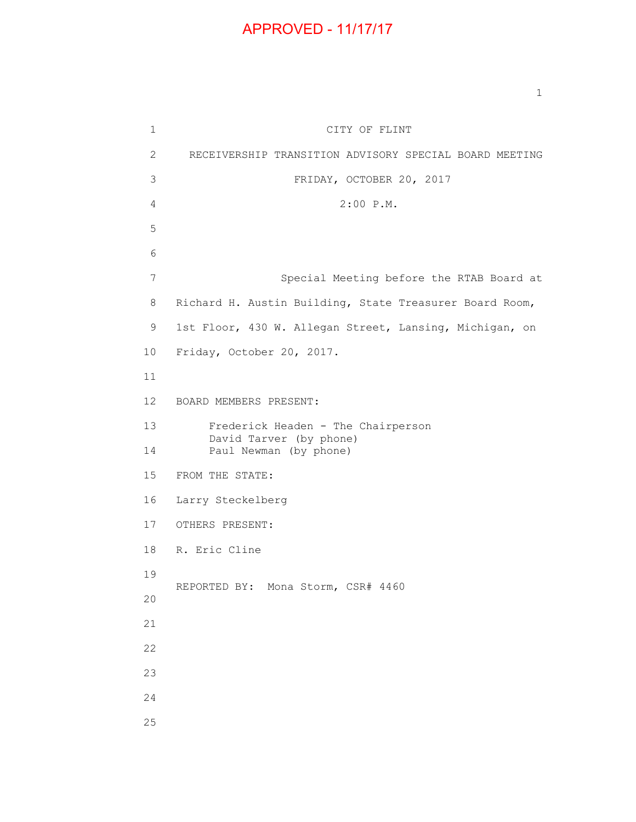## APPROVED - 11/17/17

1 CITY OF FLINT 2 RECEIVERSHIP TRANSITION ADVISORY SPECIAL BOARD MEETING 3 FRIDAY, OCTOBER 20, 2017 4 2:00 P.M. 5 6 7 Special Meeting before the RTAB Board at 8 Richard H. Austin Building, State Treasurer Board Room, 9 1st Floor, 430 W. Allegan Street, Lansing, Michigan, on 10 Friday, October 20, 2017. 11 12 BOARD MEMBERS PRESENT: 13 Frederick Headen - The Chairperson David Tarver (by phone) 14 Paul Newman (by phone) 15 FROM THE STATE: 16 Larry Steckelberg 17 OTHERS PRESENT: 18 R. Eric Cline 19 REPORTED BY: Mona Storm, CSR# 4460 20 21 22 23 24 25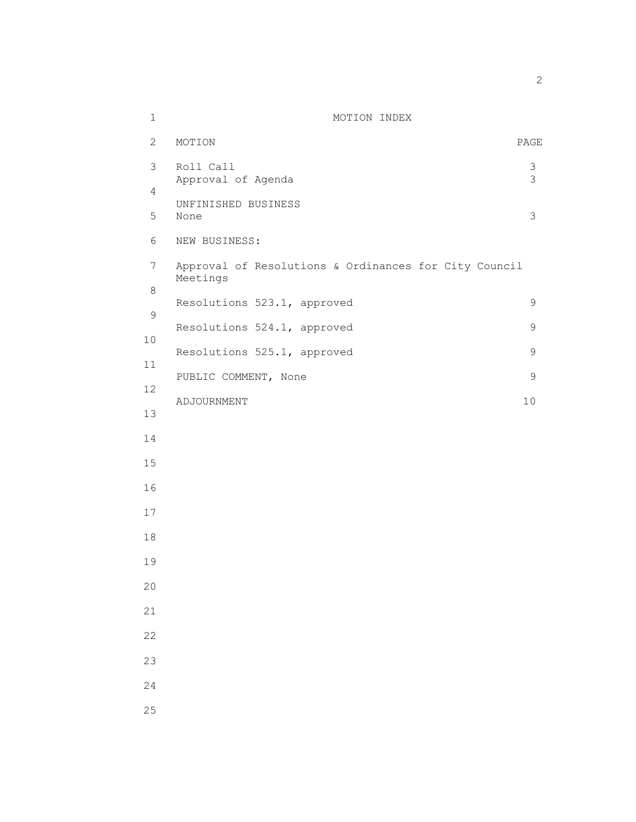| $\mathbf 1$            | MOTION INDEX                                                      |  |
|------------------------|-------------------------------------------------------------------|--|
| $\overline{2}$         | MOTION<br>PAGE                                                    |  |
| $\mathfrak{Z}$         | $\mathsf S$<br>Roll Call<br>3<br>Approval of Agenda               |  |
| $\overline{4}$         | UNFINISHED BUSINESS                                               |  |
| 5                      | 3<br>None                                                         |  |
| 6                      | NEW BUSINESS:                                                     |  |
| $7\phantom{.}$         | Approval of Resolutions & Ordinances for City Council<br>Meetings |  |
| $\,8\,$<br>$\mathsf 9$ | Resolutions 523.1, approved<br>9                                  |  |
| 10                     | Resolutions 524.1, approved<br>9                                  |  |
| 11                     | Resolutions 525.1, approved<br>9                                  |  |
| 12                     | $\mathsf 9$<br>PUBLIC COMMENT, None                               |  |
| 13                     | $10$<br>ADJOURNMENT                                               |  |
| 14                     |                                                                   |  |
| 15                     |                                                                   |  |
| 16                     |                                                                   |  |
| 17                     |                                                                   |  |
| 18                     |                                                                   |  |
| 19                     |                                                                   |  |
| 20                     |                                                                   |  |
| 21                     |                                                                   |  |
| 22                     |                                                                   |  |
| 23                     |                                                                   |  |
| 24                     |                                                                   |  |
| 25                     |                                                                   |  |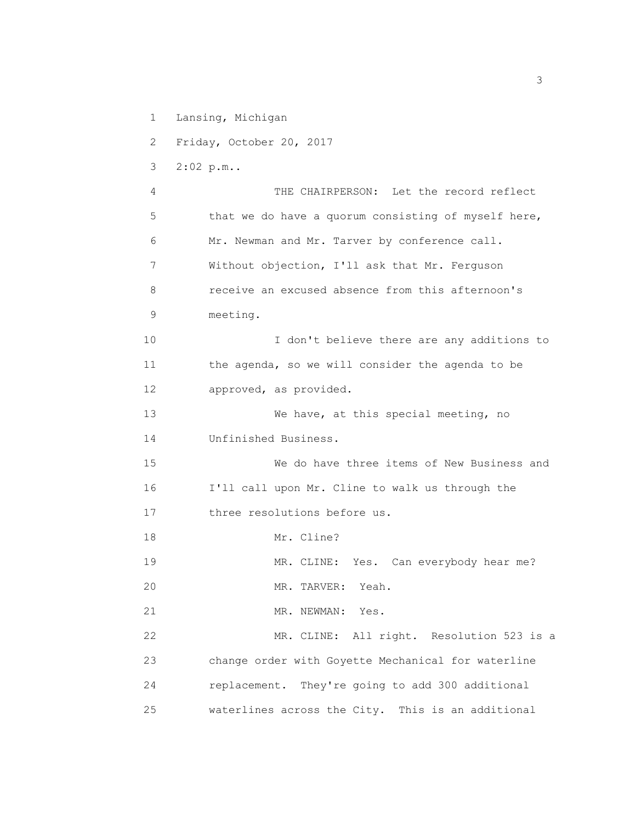- 1 Lansing, Michigan
- 2 Friday, October 20, 2017
- 3 2:02 p.m..

 4 THE CHAIRPERSON: Let the record reflect 5 that we do have a quorum consisting of myself here, 6 Mr. Newman and Mr. Tarver by conference call. 7 Without objection, I'll ask that Mr. Ferguson 8 receive an excused absence from this afternoon's 9 meeting. 10 I don't believe there are any additions to 11 the agenda, so we will consider the agenda to be

12 approved, as provided.

13 We have, at this special meeting, no 14 Unfinished Business.

 15 We do have three items of New Business and 16 I'll call upon Mr. Cline to walk us through the 17 three resolutions before us.

- 18 Mr. Cline?
- 19 MR. CLINE: Yes. Can everybody hear me? 20 MR. TARVER: Yeah.
- 
- 21 MR. NEWMAN: Yes.

 22 MR. CLINE: All right. Resolution 523 is a 23 change order with Goyette Mechanical for waterline 24 replacement. They're going to add 300 additional 25 waterlines across the City. This is an additional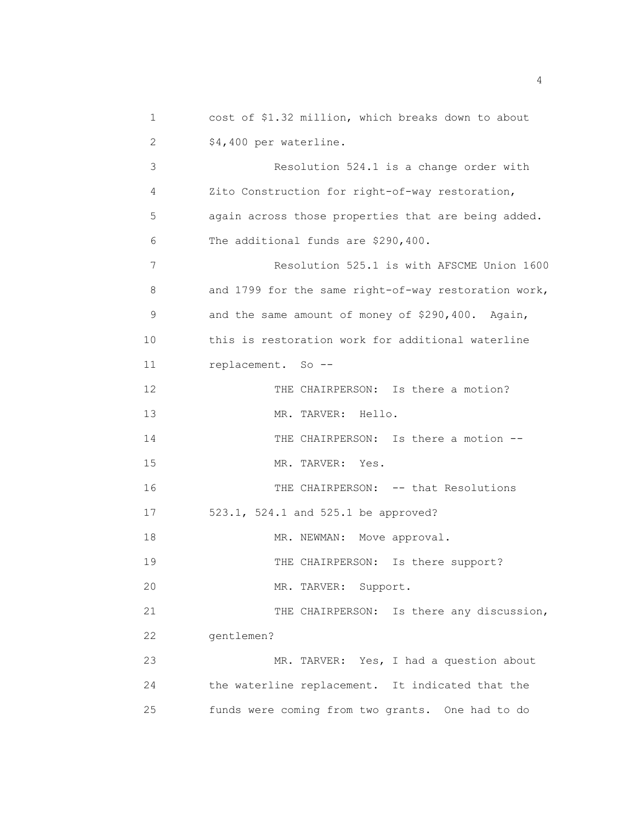| 1  | cost of \$1.32 million, which breaks down to about   |
|----|------------------------------------------------------|
| 2  | \$4,400 per waterline.                               |
| 3  | Resolution 524.1 is a change order with              |
| 4  | Zito Construction for right-of-way restoration,      |
| 5  | again across those properties that are being added.  |
| 6  | The additional funds are \$290,400.                  |
| 7  | Resolution 525.1 is with AFSCME Union 1600           |
| 8  | and 1799 for the same right-of-way restoration work, |
| 9  | and the same amount of money of \$290,400. Again,    |
| 10 | this is restoration work for additional waterline    |
| 11 | replacement. So --                                   |
| 12 | THE CHAIRPERSON: Is there a motion?                  |
| 13 | MR. TARVER: Hello.                                   |
| 14 | THE CHAIRPERSON: Is there a motion --                |
| 15 | MR. TARVER:<br>Yes.                                  |
| 16 | THE CHAIRPERSON: -- that Resolutions                 |
| 17 | 523.1, 524.1 and 525.1 be approved?                  |
| 18 | MR. NEWMAN: Move approval.                           |
| 19 | THE CHAIRPERSON: Is there support?                   |
| 20 | MR. TARVER:<br>Support.                              |
| 21 | THE CHAIRPERSON: Is there any discussion,            |
| 22 | gentlemen?                                           |
| 23 | MR. TARVER: Yes, I had a question about              |
| 24 | the waterline replacement. It indicated that the     |
| 25 | funds were coming from two grants. One had to do     |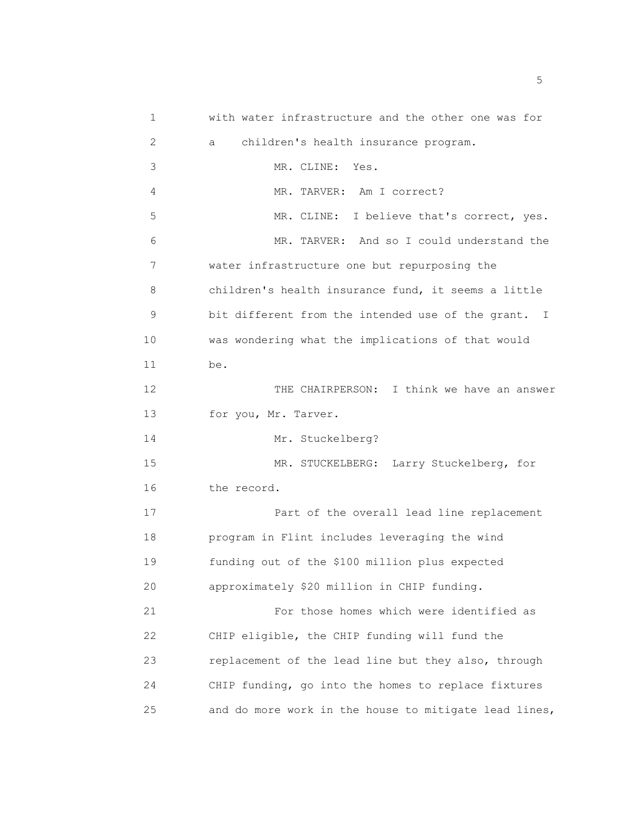1 with water infrastructure and the other one was for 2 a children's health insurance program. 3 MR. CLINE: Yes. 4 MR. TARVER: Am I correct? 5 MR. CLINE: I believe that's correct, yes. 6 MR. TARVER: And so I could understand the 7 water infrastructure one but repurposing the 8 children's health insurance fund, it seems a little 9 bit different from the intended use of the grant. I 10 was wondering what the implications of that would 11 be. 12 THE CHAIRPERSON: I think we have an answer 13 for you, Mr. Tarver. 14 Mr. Stuckelberg? 15 MR. STUCKELBERG: Larry Stuckelberg, for 16 the record. 17 Part of the overall lead line replacement 18 program in Flint includes leveraging the wind 19 funding out of the \$100 million plus expected 20 approximately \$20 million in CHIP funding. 21 For those homes which were identified as 22 CHIP eligible, the CHIP funding will fund the 23 replacement of the lead line but they also, through 24 CHIP funding, go into the homes to replace fixtures 25 and do more work in the house to mitigate lead lines,

<u>5</u> September 2014 and 2014 and 2014 and 2014 and 2014 and 2014 and 2014 and 2014 and 2014 and 2014 and 2014 and 2014 and 2014 and 2014 and 2014 and 2014 and 2014 and 2014 and 2014 and 2014 and 2014 and 2014 and 2014 and 2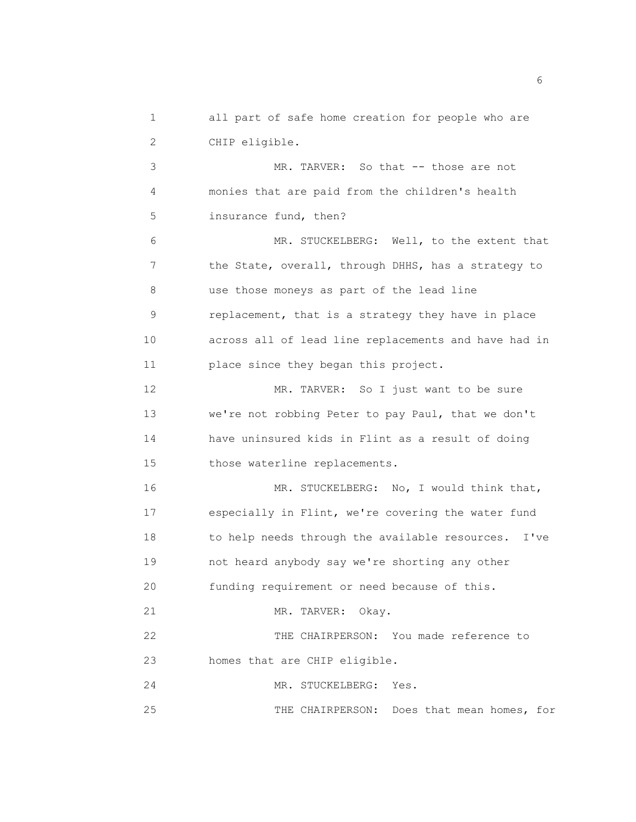1 all part of safe home creation for people who are 2 CHIP eligible.

 3 MR. TARVER: So that -- those are not 4 monies that are paid from the children's health 5 insurance fund, then? 6 MR. STUCKELBERG: Well, to the extent that 7 the State, overall, through DHHS, has a strategy to 8 use those moneys as part of the lead line 9 replacement, that is a strategy they have in place 10 across all of lead line replacements and have had in 11 place since they began this project. 12 MR. TARVER: So I just want to be sure 13 we're not robbing Peter to pay Paul, that we don't 14 have uninsured kids in Flint as a result of doing 15 those waterline replacements. 16 MR. STUCKELBERG: No, I would think that, 17 especially in Flint, we're covering the water fund 18 to help needs through the available resources. I've 19 not heard anybody say we're shorting any other 20 funding requirement or need because of this. 21 MR. TARVER: Okay. 22 THE CHAIRPERSON: You made reference to 23 homes that are CHIP eligible. 24 MR. STUCKELBERG: Yes.

25 THE CHAIRPERSON: Does that mean homes, for

 $\sim$  6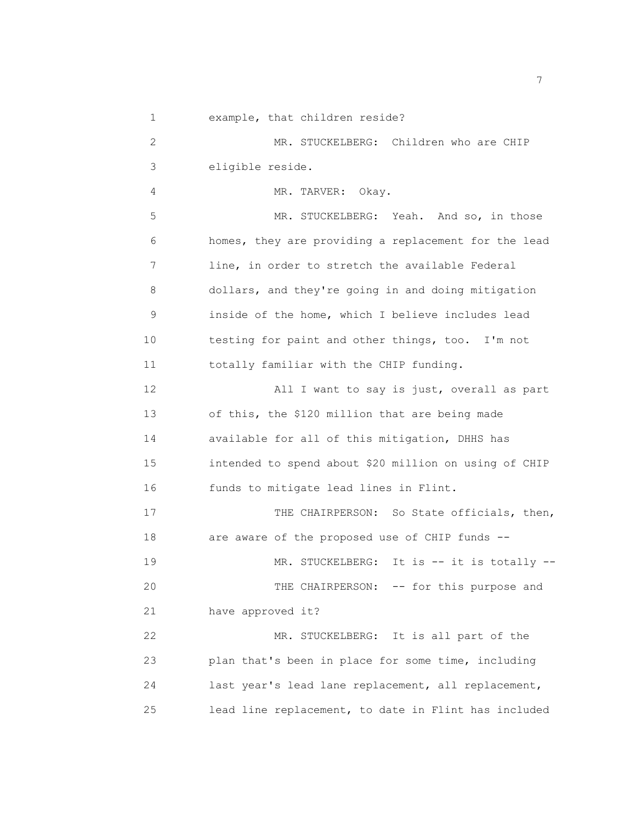1 example, that children reside?

 2 MR. STUCKELBERG: Children who are CHIP 3 eligible reside.

4 MR. TARVER: Okay.

 5 MR. STUCKELBERG: Yeah. And so, in those 6 homes, they are providing a replacement for the lead 7 line, in order to stretch the available Federal 8 dollars, and they're going in and doing mitigation 9 inside of the home, which I believe includes lead 10 testing for paint and other things, too. I'm not 11 totally familiar with the CHIP funding.

 12 All I want to say is just, overall as part 13 of this, the \$120 million that are being made 14 available for all of this mitigation, DHHS has 15 intended to spend about \$20 million on using of CHIP 16 funds to mitigate lead lines in Flint.

17 THE CHAIRPERSON: So State officials, then, 18 are aware of the proposed use of CHIP funds -- 19 MR. STUCKELBERG: It is -- it is totally --20 THE CHAIRPERSON: -- for this purpose and 21 have approved it? 22 MR. STUCKELBERG: It is all part of the

 23 plan that's been in place for some time, including 24 last year's lead lane replacement, all replacement, 25 lead line replacement, to date in Flint has included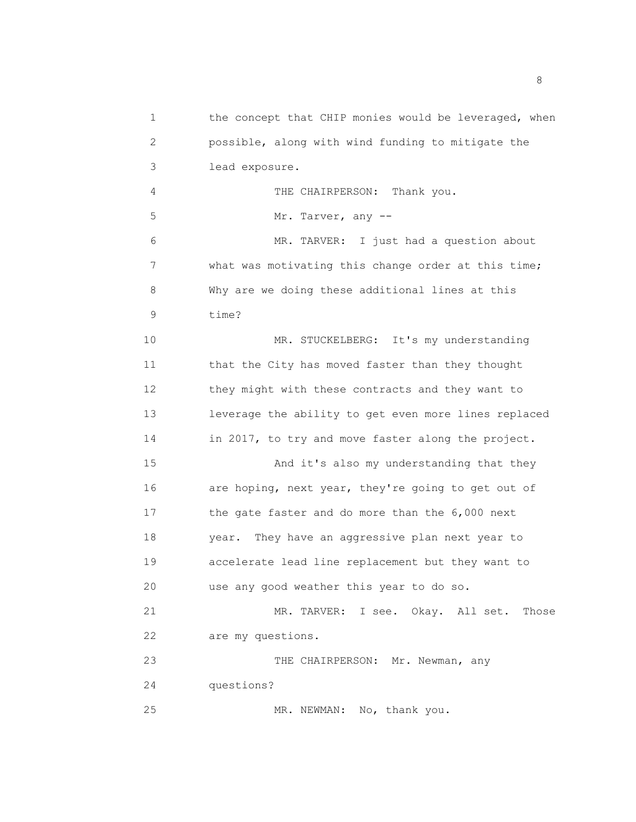2 possible, along with wind funding to mitigate the 3 lead exposure. 4 THE CHAIRPERSON: Thank you. 5 Mr. Tarver, any -- 6 MR. TARVER: I just had a question about 7 what was motivating this change order at this time; 8 Why are we doing these additional lines at this 9 time? 10 MR. STUCKELBERG: It's my understanding 11 that the City has moved faster than they thought 12 they might with these contracts and they want to 13 leverage the ability to get even more lines replaced 14 in 2017, to try and move faster along the project. 15 And it's also my understanding that they 16 are hoping, next year, they're going to get out of 17 the gate faster and do more than the 6,000 next 18 year. They have an aggressive plan next year to 19 accelerate lead line replacement but they want to 20 use any good weather this year to do so. 21 MR. TARVER: I see. Okay. All set. Those 22 are my questions. 23 THE CHAIRPERSON: Mr. Newman, any 24 questions? 25 MR. NEWMAN: No, thank you.

1 the concept that CHIP monies would be leveraged, when

en andere de la provincia de la provincia de la provincia de la provincia de la provincia de la provincia del<br>En 1918, en la provincia de la provincia de la provincia de la provincia de la provincia de la provincia de la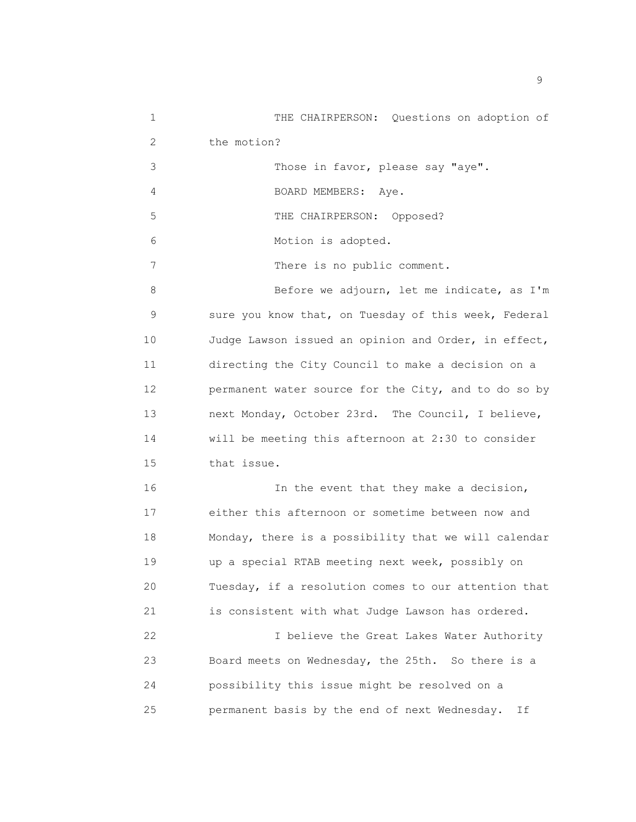1 THE CHAIRPERSON: Questions on adoption of 2 the motion?

3 Those in favor, please say "aye".

4 BOARD MEMBERS: Aye.

5 THE CHAIRPERSON: Opposed?

6 Motion is adopted.

7 There is no public comment.

8 Before we adjourn, let me indicate, as I'm 9 sure you know that, on Tuesday of this week, Federal 10 Judge Lawson issued an opinion and Order, in effect, 11 directing the City Council to make a decision on a 12 permanent water source for the City, and to do so by 13 next Monday, October 23rd. The Council, I believe, 14 will be meeting this afternoon at 2:30 to consider 15 that issue.

 16 In the event that they make a decision, 17 either this afternoon or sometime between now and 18 Monday, there is a possibility that we will calendar 19 up a special RTAB meeting next week, possibly on 20 Tuesday, if a resolution comes to our attention that 21 is consistent with what Judge Lawson has ordered.

 22 I believe the Great Lakes Water Authority 23 Board meets on Wednesday, the 25th. So there is a 24 possibility this issue might be resolved on a 25 permanent basis by the end of next Wednesday. If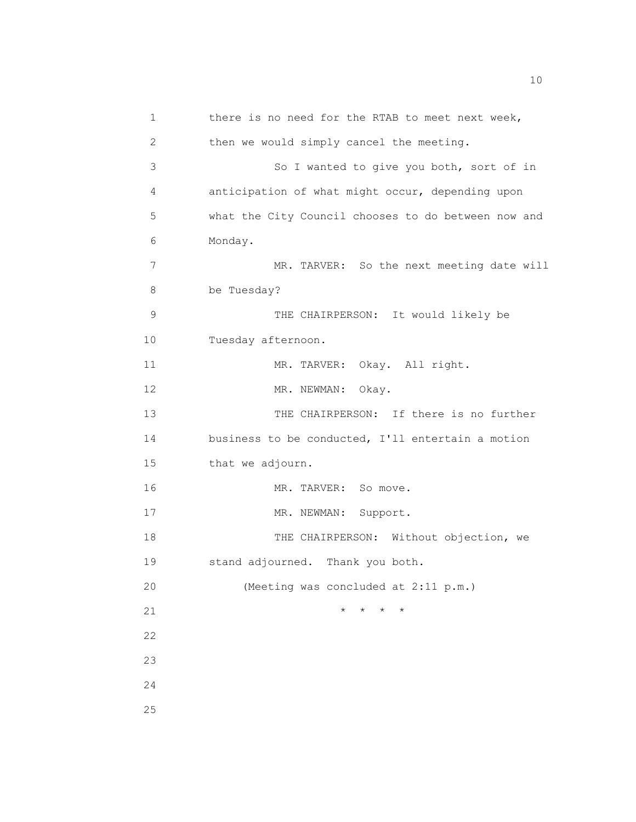| 1  | there is no need for the RTAB to meet next week,    |
|----|-----------------------------------------------------|
| 2  | then we would simply cancel the meeting.            |
| 3  | So I wanted to give you both, sort of in            |
| 4  | anticipation of what might occur, depending upon    |
| 5  | what the City Council chooses to do between now and |
| 6  | Monday.                                             |
| 7  | MR. TARVER: So the next meeting date will           |
| 8  | be Tuesday?                                         |
| 9  | THE CHAIRPERSON: It would likely be                 |
| 10 | Tuesday afternoon.                                  |
| 11 | MR. TARVER: Okay. All right.                        |
| 12 | MR. NEWMAN:<br>Okay.                                |
| 13 | THE CHAIRPERSON: If there is no further             |
| 14 | business to be conducted, I'll entertain a motion   |
| 15 | that we adjourn.                                    |
| 16 | MR. TARVER:<br>So move.                             |
| 17 | Support.<br>MR. NEWMAN:                             |
| 18 | THE CHAIRPERSON: Without objection, we              |
| 19 | stand adjourned. Thank you both.                    |
| 20 | (Meeting was concluded at 2:11 p.m.)                |
| 21 | $\star$<br>$\star$<br>$\star$<br>$^\star$           |
| 22 |                                                     |
| 23 |                                                     |
| 24 |                                                     |
| 25 |                                                     |